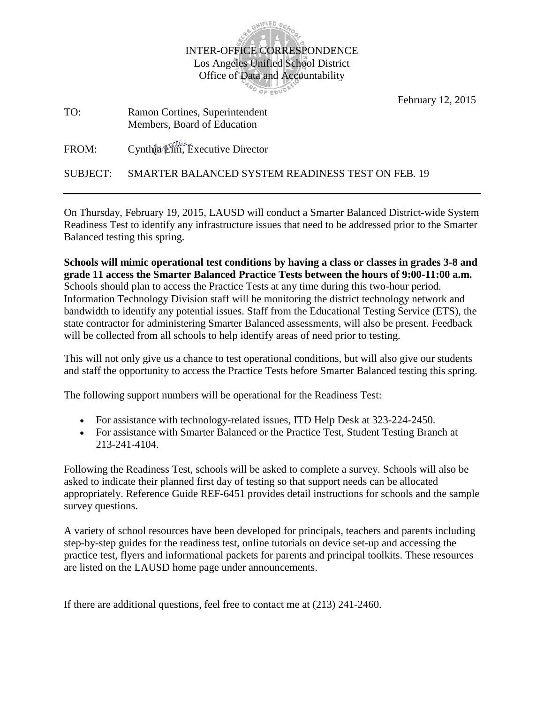

February 12, 2015

TO: Ramon Cortines, Superintendent Members, Board of Education

FROM: Cynthia Lim, Executive Director

SUBJECT: SMARTER BALANCED SYSTEM READINESS TEST ON FEB. 19

On Thursday, February 19, 2015, LAUSD will conduct a Smarter Balanced District-wide System Readiness Test to identify any infrastructure issues that need to be addressed prior to the Smarter Balanced testing this spring.

**Schools will mimic operational test conditions by having a class or classes in grades 3-8 and grade 11 access the Smarter Balanced Practice Tests between the hours of 9:00-11:00 a.m.**  Schools should plan to access the Practice Tests at any time during this two-hour period. Information Technology Division staff will be monitoring the district technology network and bandwidth to identify any potential issues. Staff from the Educational Testing Service (ETS), the state contractor for administering Smarter Balanced assessments, will also be present. Feedback will be collected from all schools to help identify areas of need prior to testing.

This will not only give us a chance to test operational conditions, but will also give our students and staff the opportunity to access the Practice Tests before Smarter Balanced testing this spring.

The following support numbers will be operational for the Readiness Test:

- For assistance with technology-related issues, ITD Help Desk at 323-224-2450.
- For assistance with Smarter Balanced or the Practice Test, Student Testing Branch at 213-241-4104.

Following the Readiness Test, schools will be asked to complete a survey. Schools will also be asked to indicate their planned first day of testing so that support needs can be allocated appropriately. Reference Guide REF-6451 provides detail instructions for schools and the sample survey questions.

A variety of school resources have been developed for principals, teachers and parents including step-by-step guides for the readiness test, online tutorials on device set-up and accessing the practice test, flyers and informational packets for parents and principal toolkits. These resources are listed on the LAUSD home page under announcements.

If there are additional questions, feel free to contact me at (213) 241-2460.